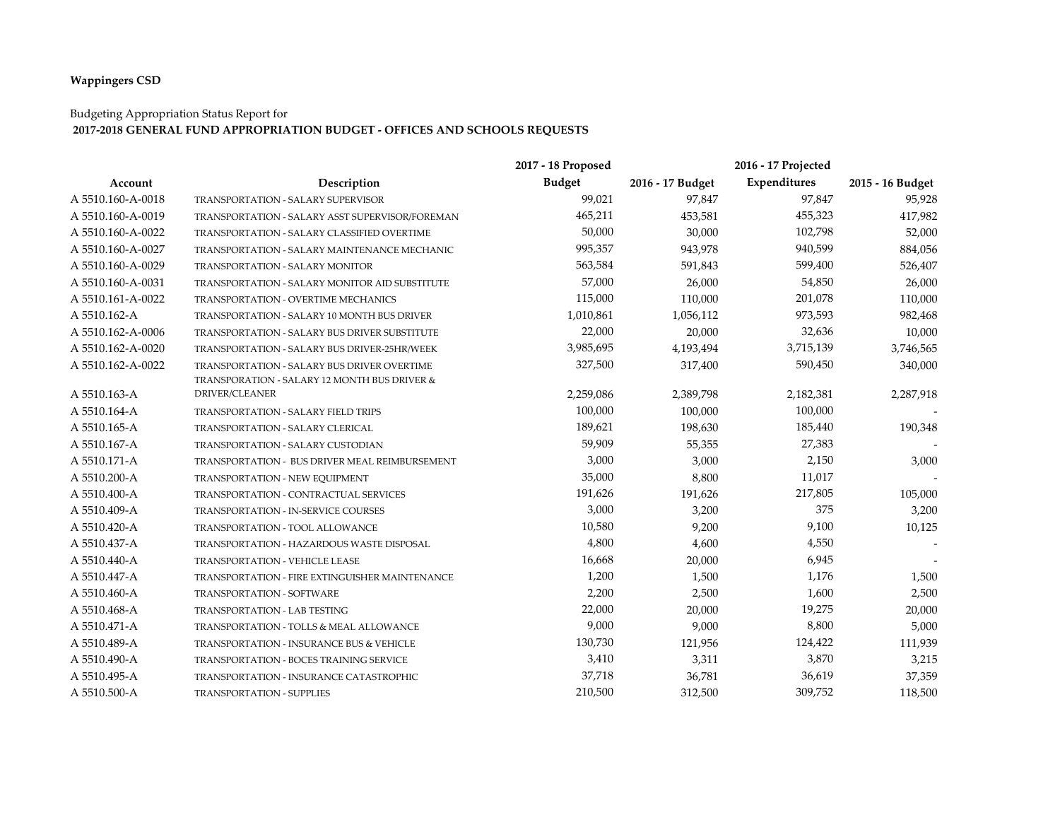## **Wappingers CSD**

## Budgeting Appropriation Status Report for

## **2017-2018 GENERAL FUND APPROPRIATION BUDGET - OFFICES AND SCHOOLS REQUESTS**

|                   |                                                 | 2017 - 18 Proposed |                  |              |                  |
|-------------------|-------------------------------------------------|--------------------|------------------|--------------|------------------|
| Account           | Description                                     | <b>Budget</b>      | 2016 - 17 Budget | Expenditures | 2015 - 16 Budget |
| A 5510.160-A-0018 | <b>TRANSPORTATION - SALARY SUPERVISOR</b>       | 99,021             | 97,847           | 97,847       | 95,928           |
| A 5510.160-A-0019 | TRANSPORTATION - SALARY ASST SUPERVISOR/FOREMAN | 465,211            | 453,581          | 455,323      | 417,982          |
| A 5510.160-A-0022 | TRANSPORTATION - SALARY CLASSIFIED OVERTIME     | 50,000             | 30,000           | 102,798      | 52,000           |
| A 5510.160-A-0027 | TRANSPORTATION - SALARY MAINTENANCE MECHANIC    | 995,357            | 943,978          | 940,599      | 884,056          |
| A 5510.160-A-0029 | TRANSPORTATION - SALARY MONITOR                 | 563,584            | 591,843          | 599,400      | 526,407          |
| A 5510.160-A-0031 | TRANSPORTATION - SALARY MONITOR AID SUBSTITUTE  | 57,000             | 26,000           | 54,850       | 26,000           |
| A 5510.161-A-0022 | TRANSPORTATION - OVERTIME MECHANICS             | 115,000            | 110,000          | 201,078      | 110,000          |
| A 5510.162-A      | TRANSPORTATION - SALARY 10 MONTH BUS DRIVER     | 1,010,861          | 1,056,112        | 973,593      | 982,468          |
| A 5510.162-A-0006 | TRANSPORTATION - SALARY BUS DRIVER SUBSTITUTE   | 22,000             | 20,000           | 32,636       | 10,000           |
| A 5510.162-A-0020 | TRANSPORTATION - SALARY BUS DRIVER-25HR/WEEK    | 3,985,695          | 4,193,494        | 3,715,139    | 3,746,565        |
| A 5510.162-A-0022 | TRANSPORTATION - SALARY BUS DRIVER OVERTIME     | 327,500            | 317,400          | 590,450      | 340,000          |
|                   | TRANSPORATION - SALARY 12 MONTH BUS DRIVER &    |                    |                  |              |                  |
| A 5510.163-A      | DRIVER/CLEANER                                  | 2,259,086          | 2,389,798        | 2,182,381    | 2,287,918        |
| A 5510.164-A      | TRANSPORTATION - SALARY FIELD TRIPS             | 100,000            | 100,000          | 100,000      |                  |
| A 5510.165-A      | TRANSPORTATION - SALARY CLERICAL                | 189,621            | 198,630          | 185,440      | 190,348          |
| A 5510.167-A      | TRANSPORTATION - SALARY CUSTODIAN               | 59,909             | 55,355           | 27,383       |                  |
| A 5510.171-A      | TRANSPORTATION - BUS DRIVER MEAL REIMBURSEMENT  | 3,000              | 3,000            | 2,150        | 3,000            |
| A 5510.200-A      | TRANSPORTATION - NEW EQUIPMENT                  | 35,000             | 8,800            | 11,017       |                  |
| A 5510.400-A      | TRANSPORTATION - CONTRACTUAL SERVICES           | 191,626            | 191,626          | 217,805      | 105,000          |
| A 5510.409-A      | TRANSPORTATION - IN-SERVICE COURSES             | 3,000              | 3,200            | 375          | 3,200            |
| A 5510.420-A      | TRANSPORTATION - TOOL ALLOWANCE                 | 10,580             | 9,200            | 9,100        | 10,125           |
| A 5510.437-A      | TRANSPORTATION - HAZARDOUS WASTE DISPOSAL       | 4,800              | 4,600            | 4,550        |                  |
| A 5510.440-A      | <b>TRANSPORTATION - VEHICLE LEASE</b>           | 16,668             | 20,000           | 6,945        |                  |
| A 5510.447-A      | TRANSPORTATION - FIRE EXTINGUISHER MAINTENANCE  | 1,200              | 1,500            | 1,176        | 1,500            |
| A 5510.460-A      | TRANSPORTATION - SOFTWARE                       | 2,200              | 2,500            | 1,600        | 2,500            |
| A 5510.468-A      | TRANSPORTATION - LAB TESTING                    | 22,000             | 20,000           | 19,275       | 20,000           |
| A 5510.471-A      | TRANSPORTATION - TOLLS & MEAL ALLOWANCE         | 9,000              | 9,000            | 8,800        | 5,000            |
| A 5510.489-A      | TRANSPORTATION - INSURANCE BUS & VEHICLE        | 130,730            | 121,956          | 124,422      | 111,939          |
| A 5510.490-A      | <b>TRANSPORTATION - BOCES TRAINING SERVICE</b>  | 3,410              | 3,311            | 3,870        | 3,215            |
| A 5510.495-A      | TRANSPORTATION - INSURANCE CATASTROPHIC         | 37,718             | 36,781           | 36,619       | 37,359           |
| A 5510.500-A      | <b>TRANSPORTATION - SUPPLIES</b>                | 210,500            | 312,500          | 309,752      | 118,500          |